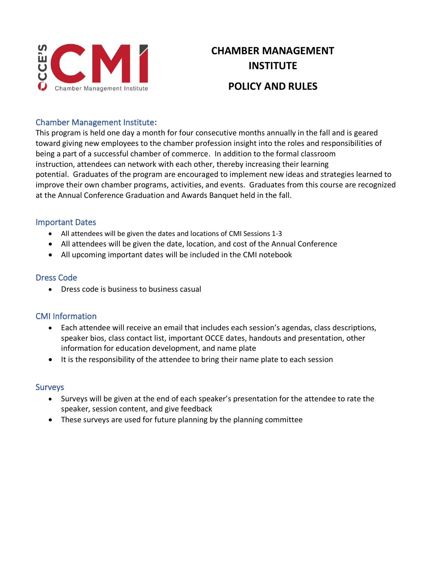

# **CHAMBER MANAGEMENT INSTITUTE POLICY AND RULES**

## Chamber Management Institute:

This program is held one day a month for four consecutive months annually in the fall and is geared toward giving new employees to the chamber profession insight into the roles and responsibilities of being a part of a successful chamber of commerce. In addition to the formal classroom instruction, attendees can network with each other, thereby increasing their learning potential. Graduates of the program are encouraged to implement new ideas and strategies learned to improve their own chamber programs, activities, and events. Graduates from this course are recognized at the Annual Conference Graduation and Awards Banquet held in the fall.

#### Important Dates

- All attendees will be given the dates and locations of CMI Sessions 1-3
- All attendees will be given the date, location, and cost of the Annual Conference
- All upcoming important dates will be included in the CMI notebook

## Dress Code

• Dress code is business to business casual

### CMI Information

- Each attendee will receive an email that includes each session's agendas, class descriptions, speaker bios, class contact list, important OCCE dates, handouts and presentation, other information for education development, and name plate
- It is the responsibility of the attendee to bring their name plate to each session

#### **Surveys**

- Surveys will be given at the end of each speaker's presentation for the attendee to rate the speaker, session content, and give feedback
- These surveys are used for future planning by the planning committee